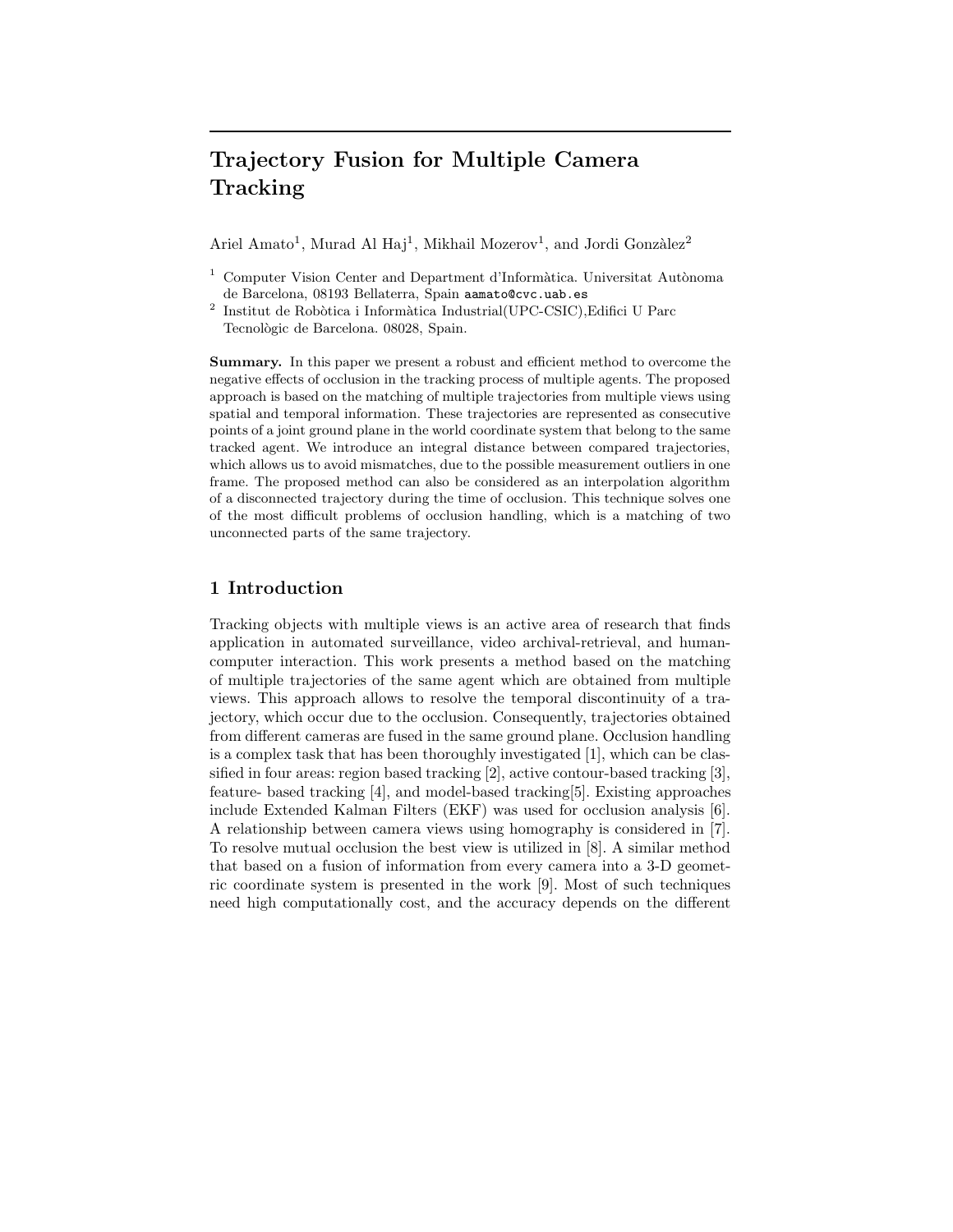# **Trajectory Fusion for Multiple Camera Tracking**

Ariel Amato<sup>1</sup>, Murad Al Haj<sup>1</sup>, Mikhail Mozerov<sup>1</sup>, and Jordi Gonzàlez<sup>2</sup>

- Computer Vision Center and Department d'Informàtica. Universitat Autònoma de Barcelona, 08193 Bellaterra, Spain aamato@cvc.uab.es
- $^{\rm 2}$ Institut de Robòtica i Informàtica Industrial(UPC-CSIC),Edifici U Parc Tecnològic de Barcelona. 08028, Spain.

**Summary.** In this paper we present a robust and efficient method to overcome the negative effects of occlusion in the tracking process of multiple agents. The proposed approach is based on the matching of multiple trajectories from multiple views using spatial and temporal information. These trajectories are represented as consecutive points of a joint ground plane in the world coordinate system that belong to the same tracked agent. We introduce an integral distance between compared trajectories, which allows us to avoid mismatches, due to the possible measurement outliers in one frame. The proposed method can also be considered as an interpolation algorithm of a disconnected trajectory during the time of occlusion. This technique solves one of the most difficult problems of occlusion handling, which is a matching of two unconnected parts of the same trajectory.

## **1 Introduction**

Tracking objects with multiple views is an active area of research that finds application in automated surveillance, video archival-retrieval, and humancomputer interaction. This work presents a method based on the matching of multiple trajectories of the same agent which are obtained from multiple views. This approach allows to resolve the temporal discontinuity of a trajectory, which occur due to the occlusion. Consequently, trajectories obtained from different cameras are fused in the same ground plane. Occlusion handling is a complex task that has been thoroughly investigated [1], which can be classified in four areas: region based tracking [2], active contour-based tracking [3], feature- based tracking [4], and model-based tracking[5]. Existing approaches include Extended Kalman Filters (EKF) was used for occlusion analysis [6]. A relationship between camera views using homography is considered in [7]. To resolve mutual occlusion the best view is utilized in [8]. A similar method that based on a fusion of information from every camera into a 3-D geometric coordinate system is presented in the work [9]. Most of such techniques need high computationally cost, and the accuracy depends on the different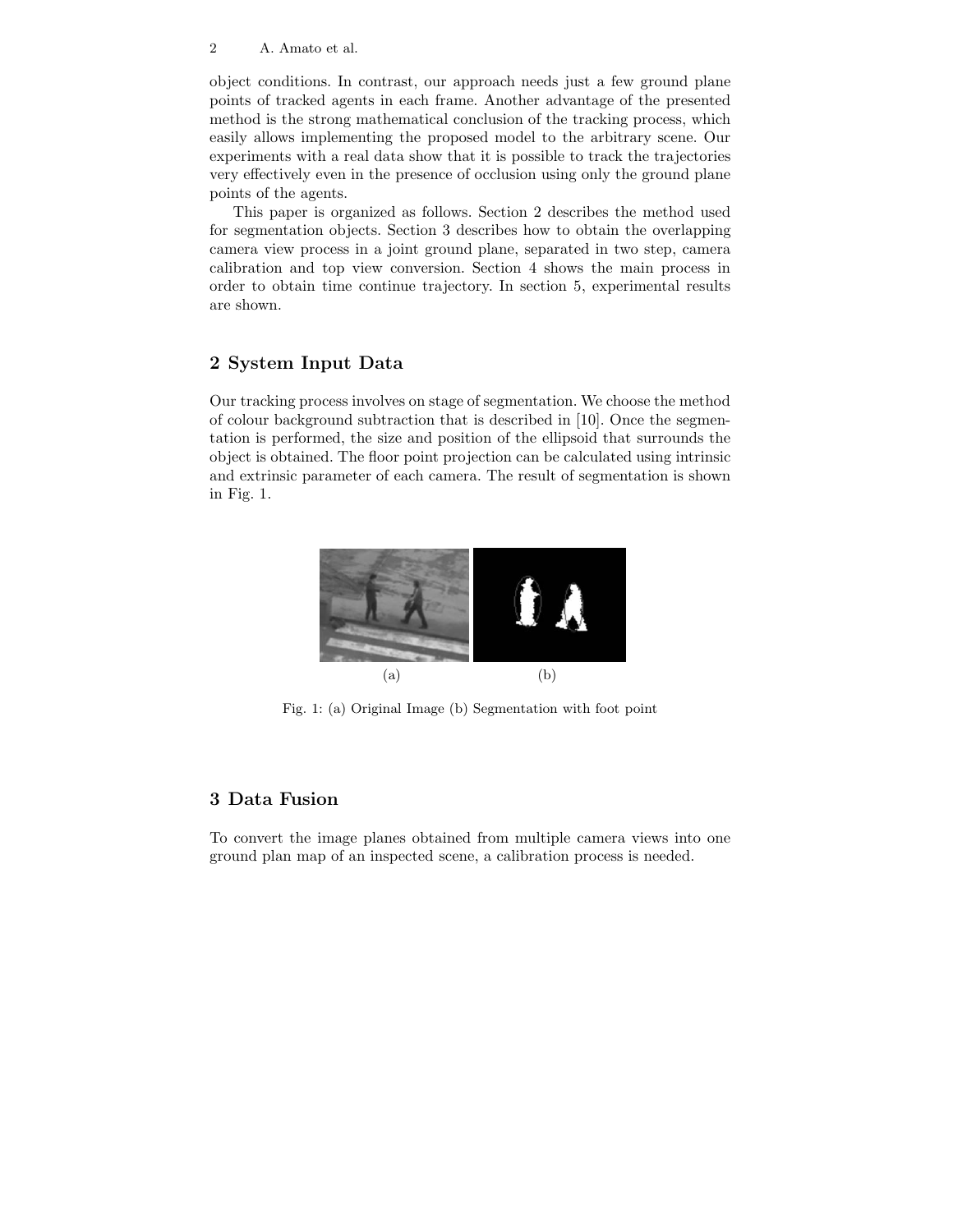#### 2 A. Amato et al.

object conditions. In contrast, our approach needs just a few ground plane points of tracked agents in each frame. Another advantage of the presented method is the strong mathematical conclusion of the tracking process, which easily allows implementing the proposed model to the arbitrary scene. Our experiments with a real data show that it is possible to track the trajectories very effectively even in the presence of occlusion using only the ground plane points of the agents.

This paper is organized as follows. Section 2 describes the method used for segmentation objects. Section 3 describes how to obtain the overlapping camera view process in a joint ground plane, separated in two step, camera calibration and top view conversion. Section 4 shows the main process in order to obtain time continue trajectory. In section 5, experimental results are shown.

# **2 System Input Data**

Our tracking process involves on stage of segmentation. We choose the method of colour background subtraction that is described in [10]. Once the segmentation is performed, the size and position of the ellipsoid that surrounds the object is obtained. The floor point projection can be calculated using intrinsic and extrinsic parameter of each camera. The result of segmentation is shown in Fig. 1.



Fig. 1: (a) Original Image (b) Segmentation with foot point

# **3 Data Fusion**

To convert the image planes obtained from multiple camera views into one ground plan map of an inspected scene, a calibration process is needed.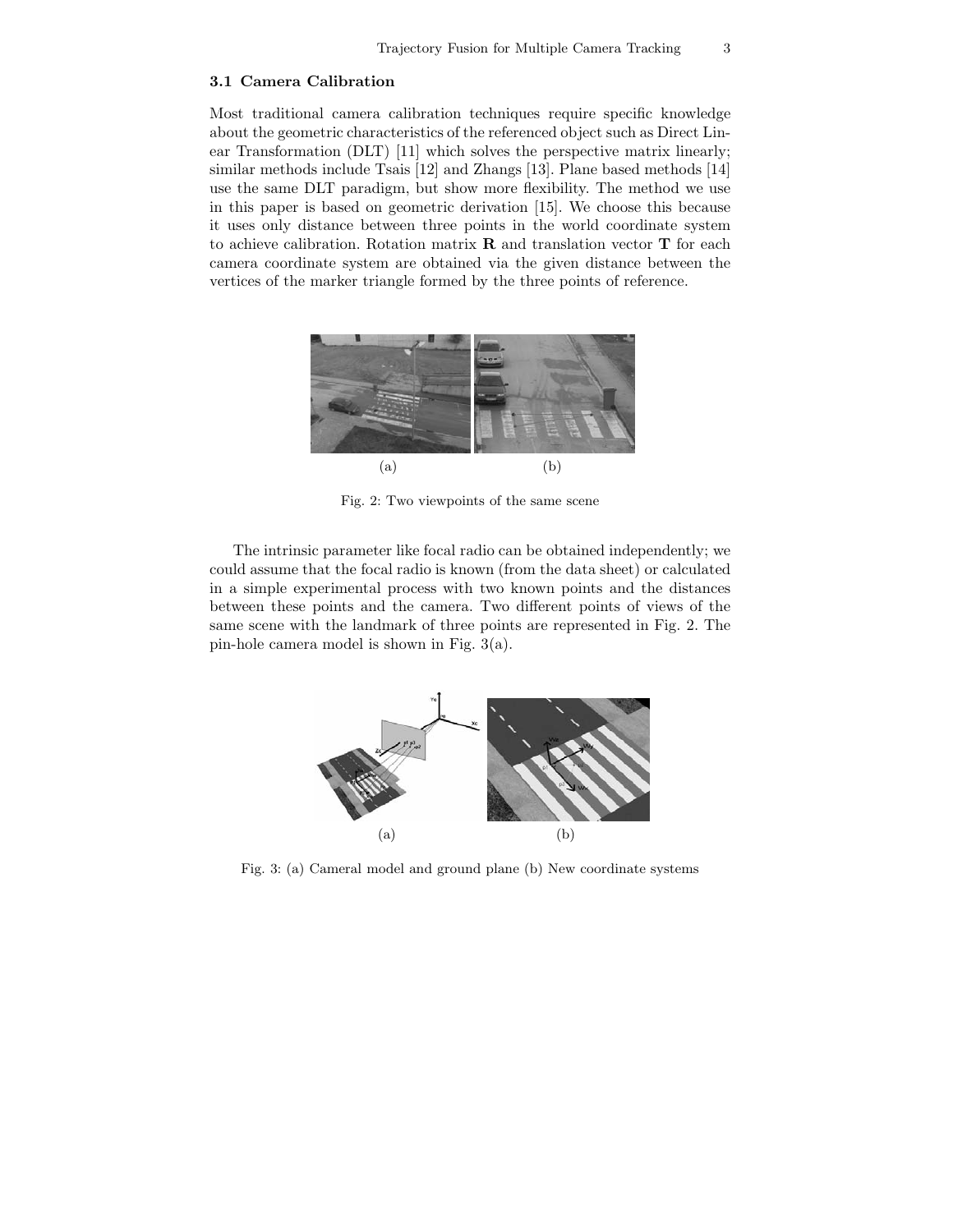#### **3.1 Camera Calibration**

Most traditional camera calibration techniques require specific knowledge about the geometric characteristics of the referenced object such as Direct Linear Transformation (DLT) [11] which solves the perspective matrix linearly; similar methods include Tsais [12] and Zhangs [13]. Plane based methods [14] use the same DLT paradigm, but show more flexibility. The method we use in this paper is based on geometric derivation [15]. We choose this because it uses only distance between three points in the world coordinate system to achieve calibration. Rotation matrix **R** and translation vector **T** for each camera coordinate system are obtained via the given distance between the vertices of the marker triangle formed by the three points of reference.



Fig. 2: Two viewpoints of the same scene

The intrinsic parameter like focal radio can be obtained independently; we could assume that the focal radio is known (from the data sheet) or calculated in a simple experimental process with two known points and the distances between these points and the camera. Two different points of views of the same scene with the landmark of three points are represented in Fig. 2. The pin-hole camera model is shown in Fig. 3(a).



Fig. 3: (a) Cameral model and ground plane (b) New coordinate systems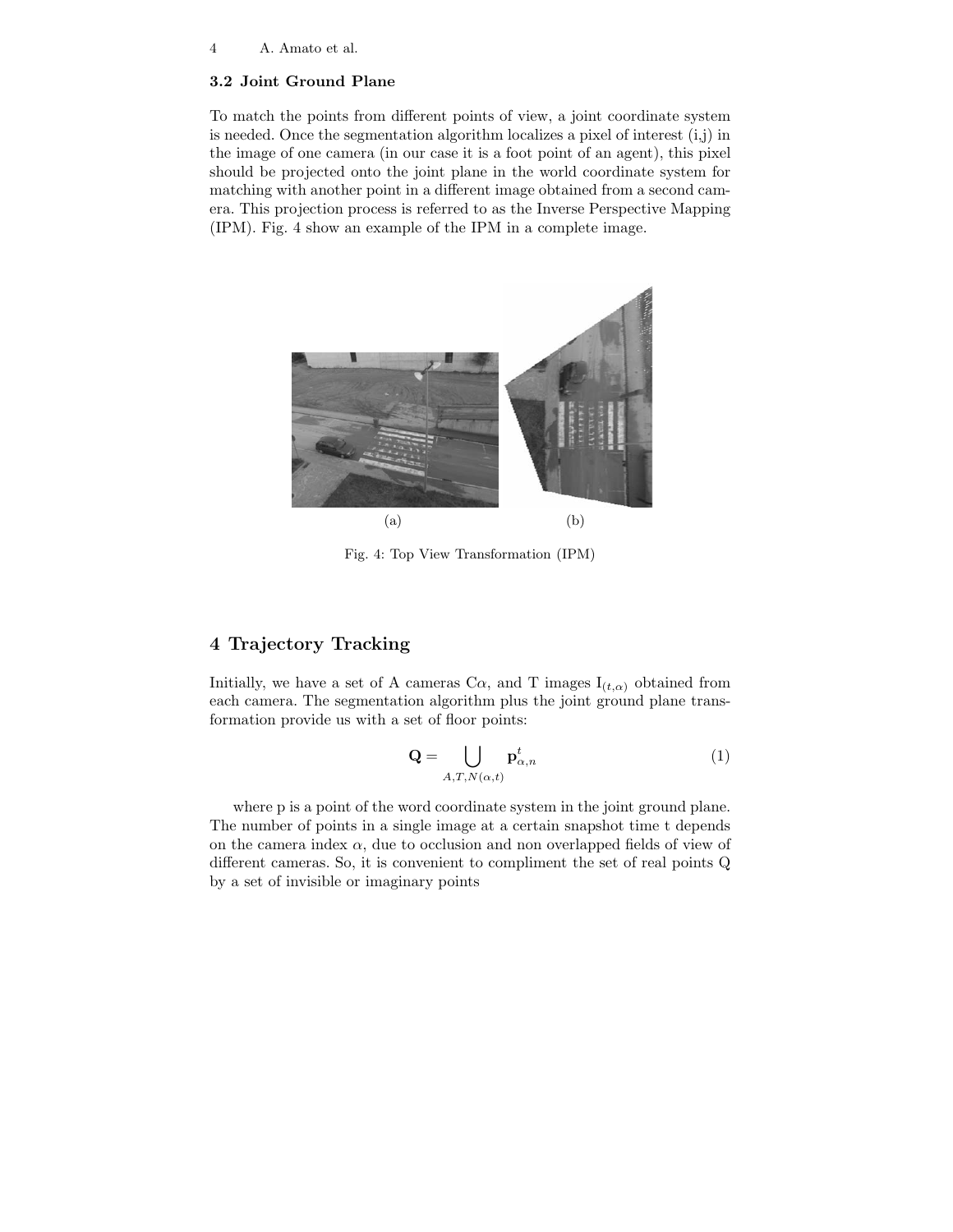#### **3.2 Joint Ground Plane**

To match the points from different points of view, a joint coordinate system is needed. Once the segmentation algorithm localizes a pixel of interest  $(i,j)$  in the image of one camera (in our case it is a foot point of an agent), this pixel should be projected onto the joint plane in the world coordinate system for matching with another point in a different image obtained from a second camera. This projection process is referred to as the Inverse Perspective Mapping (IPM). Fig. 4 show an example of the IPM in a complete image.



Fig. 4: Top View Transformation (IPM)

## **4 Trajectory Tracking**

Initially, we have a set of A cameras C $\alpha$ , and T images  $I_{(t,\alpha)}$  obtained from each camera. The segmentation algorithm plus the joint ground plane transformation provide us with a set of floor points:

$$
\mathbf{Q} = \bigcup_{A,T,N(\alpha,t)} \mathbf{p}^t_{\alpha,n} \tag{1}
$$

where p is a point of the word coordinate system in the joint ground plane. The number of points in a single image at a certain snapshot time t depends on the camera index  $\alpha$ , due to occlusion and non overlapped fields of view of different cameras. So, it is convenient to compliment the set of real points Q by a set of invisible or imaginary points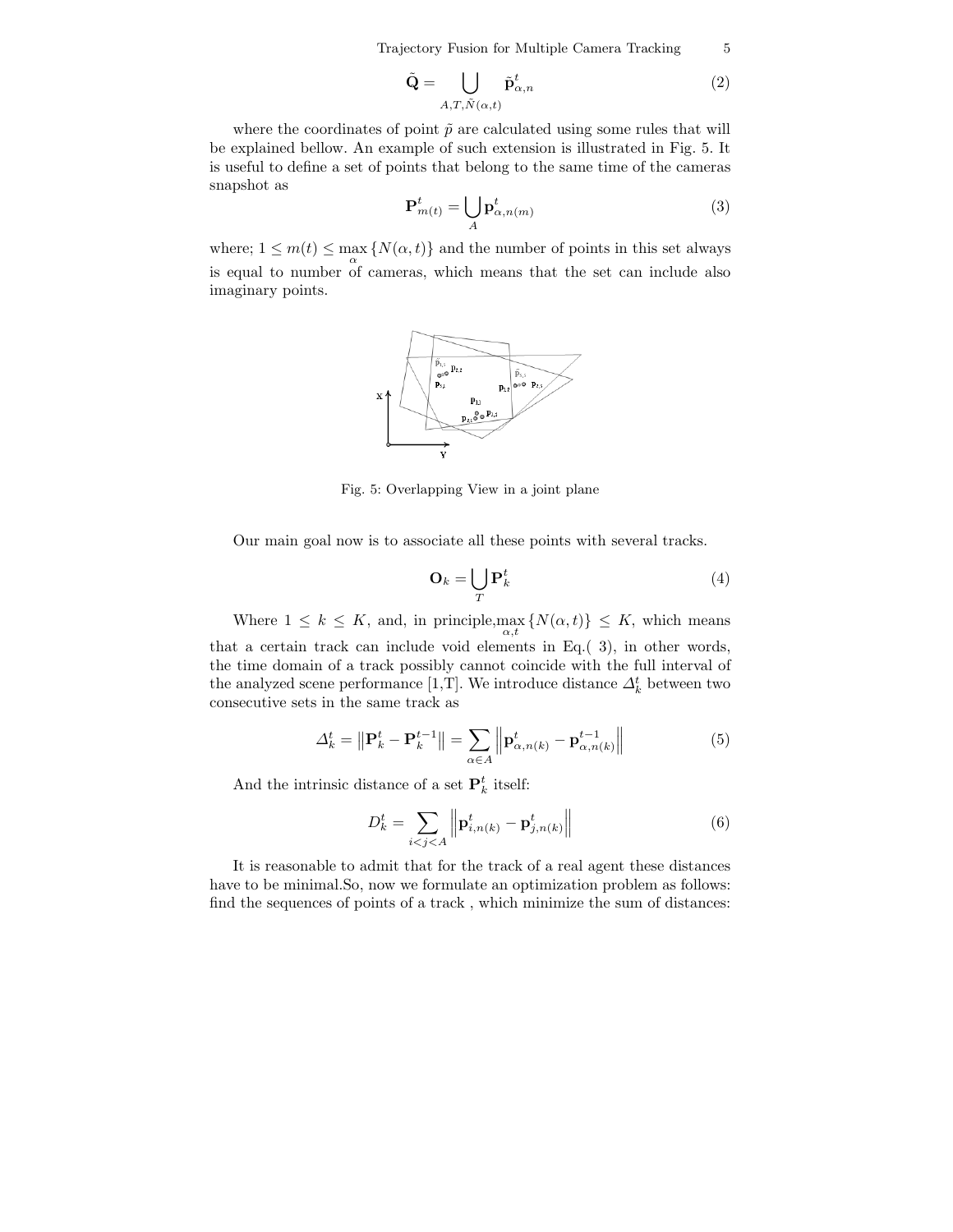Trajectory Fusion for Multiple Camera Tracking 5

$$
\tilde{\mathbf{Q}} = \bigcup_{A,T,\tilde{N}(\alpha,t)} \tilde{\mathbf{p}}^t_{\alpha,n} \tag{2}
$$

where the coordinates of point  $\tilde{p}$  are calculated using some rules that will be explained bellow. An example of such extension is illustrated in Fig. 5. It is useful to define a set of points that belong to the same time of the cameras snapshot as

$$
\mathbf{P}_{m(t)}^{t} = \bigcup_{A} \mathbf{p}_{\alpha, n(m)}^{t} \tag{3}
$$

where;  $1 \leq m(t) \leq \max_{\alpha} \{N(\alpha, t)\}\$  and the number of points in this set always is equal to number of cameras, which means that the set can include also imaginary points.



Fig. 5: Overlapping View in a joint plane

Our main goal now is to associate all these points with several tracks.

$$
\mathbf{O}_k = \bigcup_T \mathbf{P}_k^t \tag{4}
$$

Where  $1 \leq k \leq K$ , and, in principle,  $\max_{\alpha, t} \{N(\alpha, t)\} \leq K$ , which means that a certain track can include void elements in Eq.( 3), in other words, the time domain of a track possibly cannot coincide with the full interval of the analyzed scene performance [1,T]. We introduce distance  $\Delta_k^t$  between two consecutive sets in the same track as

$$
\Delta_k^t = \left\| \mathbf{P}_k^t - \mathbf{P}_k^{t-1} \right\| = \sum_{\alpha \in A} \left\| \mathbf{p}_{\alpha, n(k)}^t - \mathbf{p}_{\alpha, n(k)}^{t-1} \right\| \tag{5}
$$

And the intrinsic distance of a set  $\mathbf{P}_k^t$  itself:

$$
D_k^t = \sum_{i < j < A} \left\| \mathbf{p}_{i,n(k)}^t - \mathbf{p}_{j,n(k)}^t \right\| \tag{6}
$$

It is reasonable to admit that for the track of a real agent these distances have to be minimal.So, now we formulate an optimization problem as follows: find the sequences of points of a track , which minimize the sum of distances: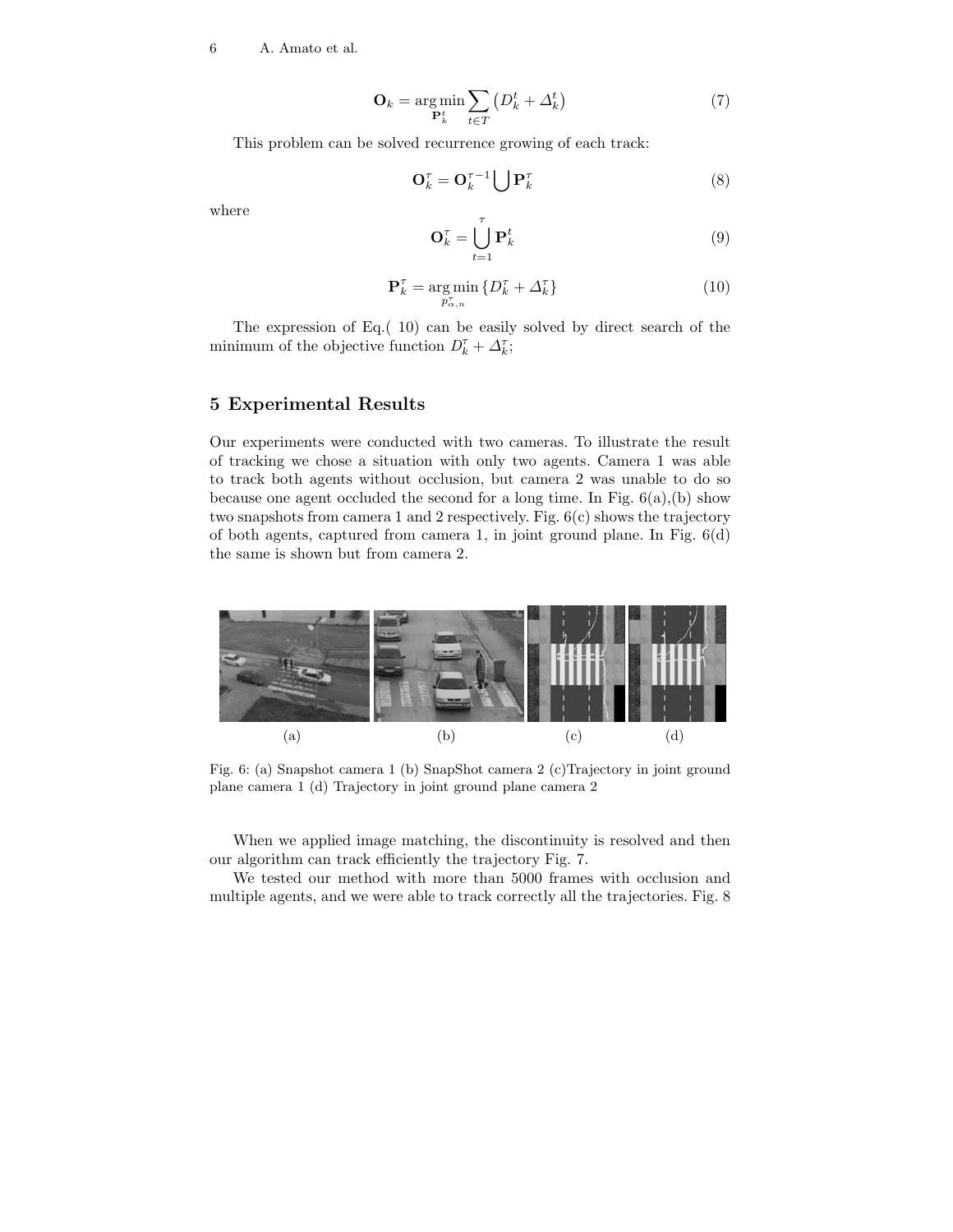6 A. Amato et al.

$$
\mathbf{O}_k = \underset{\mathbf{P}_k^t}{\text{arg min}} \sum_{t \in T} \left( D_k^t + \Delta_k^t \right) \tag{7}
$$

This problem can be solved recurrence growing of each track:

$$
\mathbf{O}_k^{\tau} = \mathbf{O}_k^{\tau-1} \bigcup \mathbf{P}_k^{\tau}
$$
 (8)

where

$$
\mathbf{O}_k^{\tau} = \bigcup_{t=1}^{\tau} \mathbf{P}_k^t \tag{9}
$$

$$
\mathbf{P}_k^{\tau} = \underset{p_{\alpha,n}^{\tau}}{\arg\min} \left\{ D_k^{\tau} + \Delta_k^{\tau} \right\} \tag{10}
$$

The expression of Eq.( 10) can be easily solved by direct search of the minimum of the objective function  $D_k^{\tau} + \Delta_k^{\tau}$ ;

### **5 Experimental Results**

Our experiments were conducted with two cameras. To illustrate the result of tracking we chose a situation with only two agents. Camera 1 was able to track both agents without occlusion, but camera 2 was unable to do so because one agent occluded the second for a long time. In Fig.  $6(a)$ , (b) show two snapshots from camera 1 and 2 respectively. Fig. 6(c) shows the trajectory of both agents, captured from camera 1, in joint ground plane. In Fig. 6(d) the same is shown but from camera 2.



Fig. 6: (a) Snapshot camera 1 (b) SnapShot camera 2 (c)Trajectory in joint ground plane camera 1 (d) Trajectory in joint ground plane camera 2

When we applied image matching, the discontinuity is resolved and then our algorithm can track efficiently the trajectory Fig. 7.

We tested our method with more than 5000 frames with occlusion and multiple agents, and we were able to track correctly all the trajectories. Fig. 8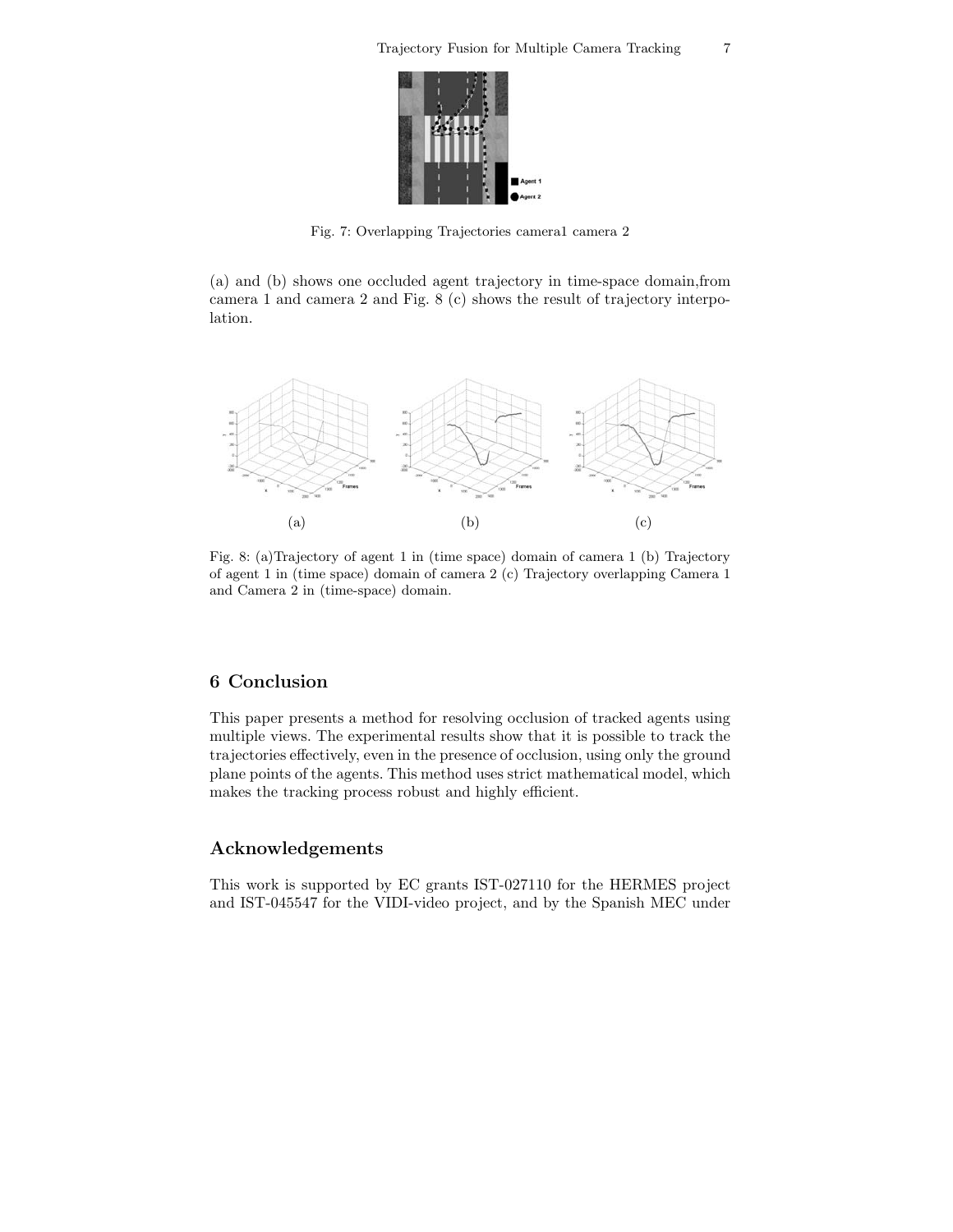

Fig. 7: Overlapping Trajectories camera1 camera 2

(a) and (b) shows one occluded agent trajectory in time-space domain,from camera 1 and camera 2 and Fig. 8 (c) shows the result of trajectory interpolation.



Fig. 8: (a)Trajectory of agent 1 in (time space) domain of camera 1 (b) Trajectory of agent 1 in (time space) domain of camera 2 (c) Trajectory overlapping Camera 1 and Camera 2 in (time-space) domain.

## **6 Conclusion**

This paper presents a method for resolving occlusion of tracked agents using multiple views. The experimental results show that it is possible to track the trajectories effectively, even in the presence of occlusion, using only the ground plane points of the agents. This method uses strict mathematical model, which makes the tracking process robust and highly efficient.

# **Acknowledgements**

This work is supported by EC grants IST-027110 for the HERMES project and IST-045547 for the VIDI-video project, and by the Spanish MEC under